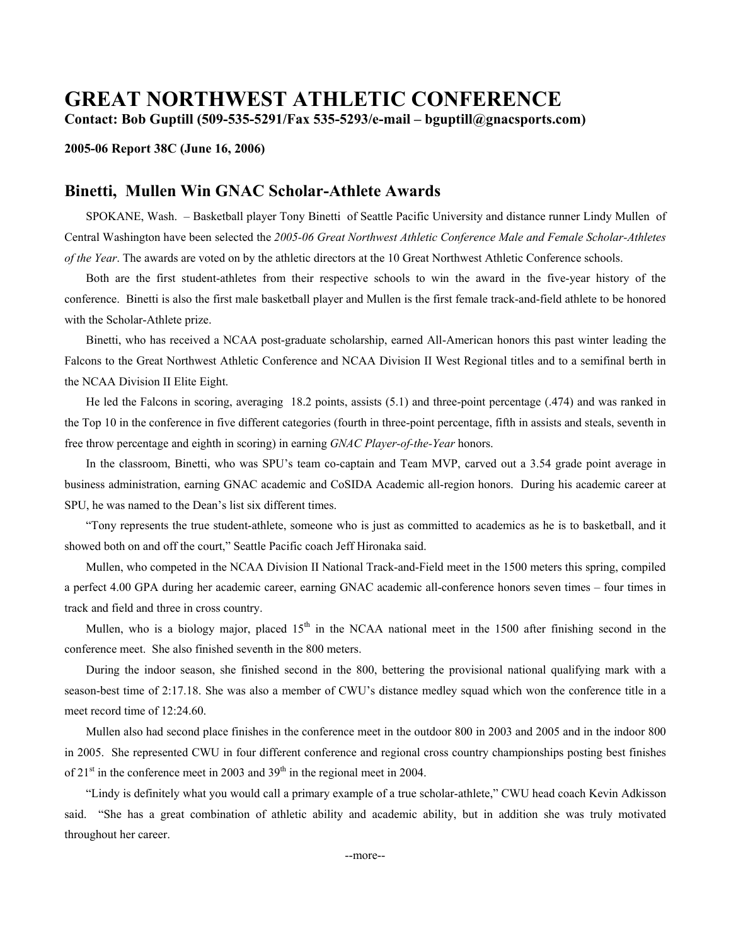# **GREAT NORTHWEST ATHLETIC CONFERENCE**

**Contact: Bob Guptill (509-535-5291/Fax 535-5293/e-mail – bguptill@gnacsports.com)** 

### **2005-06 Report 38C (June 16, 2006)**

## **Binetti, Mullen Win GNAC Scholar-Athlete Awards**

 SPOKANE, Wash. – Basketball player Tony Binetti of Seattle Pacific University and distance runner Lindy Mullen of Central Washington have been selected the *2005-06 Great Northwest Athletic Conference Male and Female Scholar-Athletes of the Year*. The awards are voted on by the athletic directors at the 10 Great Northwest Athletic Conference schools.

 Both are the first student-athletes from their respective schools to win the award in the five-year history of the conference. Binetti is also the first male basketball player and Mullen is the first female track-and-field athlete to be honored with the Scholar-Athlete prize.

 Binetti, who has received a NCAA post-graduate scholarship, earned All-American honors this past winter leading the Falcons to the Great Northwest Athletic Conference and NCAA Division II West Regional titles and to a semifinal berth in the NCAA Division II Elite Eight.

 He led the Falcons in scoring, averaging 18.2 points, assists (5.1) and three-point percentage (.474) and was ranked in the Top 10 in the conference in five different categories (fourth in three-point percentage, fifth in assists and steals, seventh in free throw percentage and eighth in scoring) in earning *GNAC Player-of-the-Year* honors.

 In the classroom, Binetti, who was SPU's team co-captain and Team MVP, carved out a 3.54 grade point average in business administration, earning GNAC academic and CoSIDA Academic all-region honors. During his academic career at SPU, he was named to the Dean's list six different times.

 "Tony represents the true student-athlete, someone who is just as committed to academics as he is to basketball, and it showed both on and off the court," Seattle Pacific coach Jeff Hironaka said.

 Mullen, who competed in the NCAA Division II National Track-and-Field meet in the 1500 meters this spring, compiled a perfect 4.00 GPA during her academic career, earning GNAC academic all-conference honors seven times – four times in track and field and three in cross country.

Mullen, who is a biology major, placed  $15<sup>th</sup>$  in the NCAA national meet in the 1500 after finishing second in the conference meet. She also finished seventh in the 800 meters.

 During the indoor season, she finished second in the 800, bettering the provisional national qualifying mark with a season-best time of 2:17.18. She was also a member of CWU's distance medley squad which won the conference title in a meet record time of 12:24.60.

 Mullen also had second place finishes in the conference meet in the outdoor 800 in 2003 and 2005 and in the indoor 800 in 2005. She represented CWU in four different conference and regional cross country championships posting best finishes of  $21<sup>st</sup>$  in the conference meet in 2003 and 39<sup>th</sup> in the regional meet in 2004.

 "Lindy is definitely what you would call a primary example of a true scholar-athlete," CWU head coach Kevin Adkisson said. "She has a great combination of athletic ability and academic ability, but in addition she was truly motivated throughout her career.